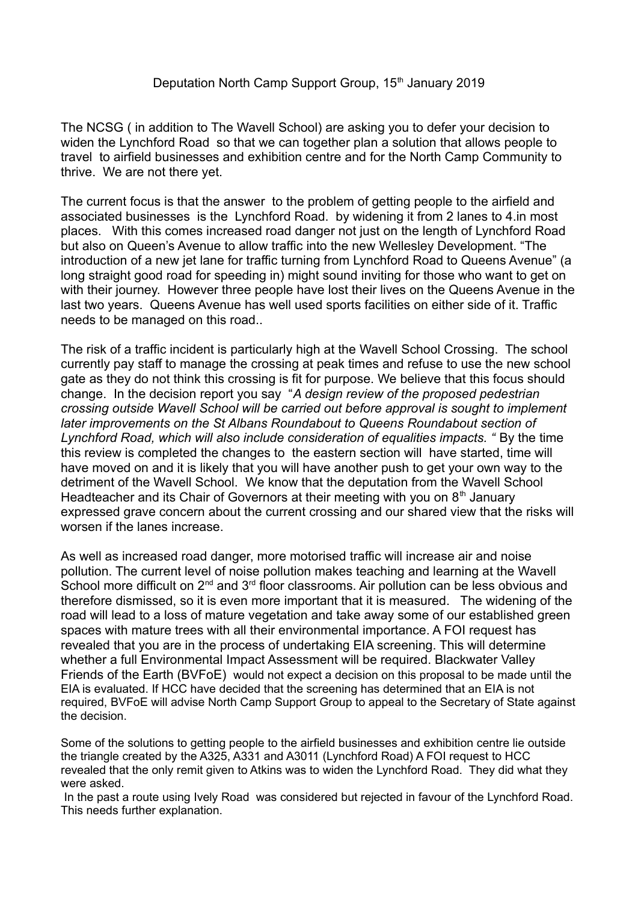The NCSG ( in addition to The Wavell School) are asking you to defer your decision to widen the Lynchford Road so that we can together plan a solution that allows people to travel to airfield businesses and exhibition centre and for the North Camp Community to thrive. We are not there yet.

The current focus is that the answer to the problem of getting people to the airfield and associated businesses is the Lynchford Road. by widening it from 2 lanes to 4.in most places. With this comes increased road danger not just on the length of Lynchford Road but also on Queen's Avenue to allow traffic into the new Wellesley Development. "The introduction of a new jet lane for traffic turning from Lynchford Road to Queens Avenue" (a long straight good road for speeding in) might sound inviting for those who want to get on with their journey. However three people have lost their lives on the Queens Avenue in the last two years. Queens Avenue has well used sports facilities on either side of it. Traffic needs to be managed on this road..

The risk of a traffic incident is particularly high at the Wavell School Crossing. The school currently pay staff to manage the crossing at peak times and refuse to use the new school gate as they do not think this crossing is fit for purpose. We believe that this focus should change. In the decision report you say "*A design review of the proposed pedestrian crossing outside Wavell School will be carried out before approval is sought to implement later improvements on the St Albans Roundabout to Queens Roundabout section of*  Lynchford Road, which will also include consideration of equalities impacts. " By the time this review is completed the changes to the eastern section will have started, time will have moved on and it is likely that you will have another push to get your own way to the detriment of the Wavell School. We know that the deputation from the Wavell School Headteacher and its Chair of Governors at their meeting with you on  $8<sup>th</sup>$  January expressed grave concern about the current crossing and our shared view that the risks will worsen if the lanes increase.

As well as increased road danger, more motorised traffic will increase air and noise pollution. The current level of noise pollution makes teaching and learning at the Wavell School more difficult on  $2<sup>nd</sup>$  and  $3<sup>rd</sup>$  floor classrooms. Air pollution can be less obvious and therefore dismissed, so it is even more important that it is measured. The widening of the road will lead to a loss of mature vegetation and take away some of our established green spaces with mature trees with all their environmental importance. A FOI request has revealed that you are in the process of undertaking EIA screening. This will determine whether a full Environmental Impact Assessment will be required. Blackwater Valley Friends of the Earth (BVFoE) would not expect a decision on this proposal to be made until the EIA is evaluated. If HCC have decided that the screening has determined that an EIA is not required, BVFoE will advise North Camp Support Group to appeal to the Secretary of State against the decision.

Some of the solutions to getting people to the airfield businesses and exhibition centre lie outside the triangle created by the A325, A331 and A3011 (Lynchford Road) A FOI request to HCC revealed that the only remit given to Atkins was to widen the Lynchford Road. They did what they were asked.

 In the past a route using Ively Road was considered but rejected in favour of the Lynchford Road. This needs further explanation.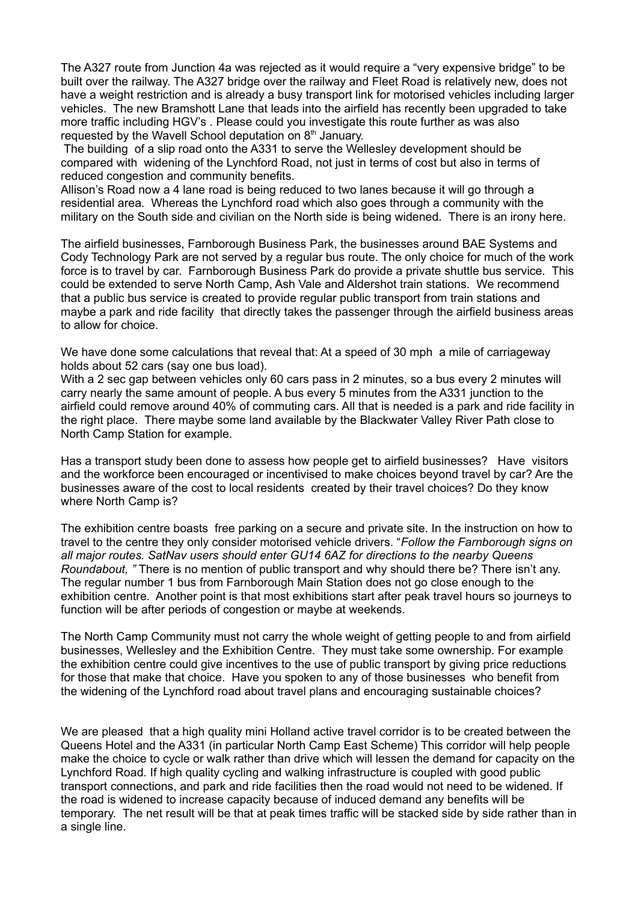The A327 route from Junction 4a was rejected as it would require a "very expensive bridge" to be built over the railway. The A327 bridge over the railway and Fleet Road is relatively new, does not have a weight restriction and is already a busy transport link for motorised vehicles including larger vehicles. The new Bramshott Lane that leads into the airfield has recently been upgraded to take more traffic including HGV's . Please could you investigate this route further as was also requested by the Wavell School deputation on 8<sup>th</sup> January.

 The building of a slip road onto the A331 to serve the Wellesley development should be compared with widening of the Lynchford Road, not just in terms of cost but also in terms of reduced congestion and community benefits.

Allison's Road now a 4 lane road is being reduced to two lanes because it will go through a residential area. Whereas the Lynchford road which also goes through a community with the military on the South side and civilian on the North side is being widened. There is an irony here.

The airfield businesses, Farnborough Business Park, the businesses around BAE Systems and Cody Technology Park are not served by a regular bus route. The only choice for much of the work force is to travel by car. Farnborough Business Park do provide a private shuttle bus service. This could be extended to serve North Camp, Ash Vale and Aldershot train stations. We recommend that a public bus service is created to provide regular public transport from train stations and maybe a park and ride facility that directly takes the passenger through the airfield business areas to allow for choice.

We have done some calculations that reveal that: At a speed of 30 mph a mile of carriageway holds about 52 cars (say one bus load).

With a 2 sec gap between vehicles only 60 cars pass in 2 minutes, so a bus every 2 minutes will carry nearly the same amount of people. A bus every 5 minutes from the A331 junction to the airfield could remove around 40% of commuting cars. All that is needed is a park and ride facility in the right place. There maybe some land available by the Blackwater Valley River Path close to North Camp Station for example.

Has a transport study been done to assess how people get to airfield businesses? Have visitors and the workforce been encouraged or incentivised to make choices beyond travel by car? Are the businesses aware of the cost to local residents created by their travel choices? Do they know where North Camp is?

The exhibition centre boasts free parking on a secure and private site. In the instruction on how to travel to the centre they only consider motorised vehicle drivers. "*Follow the Farnborough signs on all major routes. SatNav users should enter GU14 6AZ for directions to the nearby Queens Roundabout, "* There is no mention of public transport and why should there be? There isn't any. The regular number 1 bus from Farnborough Main Station does not go close enough to the exhibition centre. Another point is that most exhibitions start after peak travel hours so journeys to function will be after periods of congestion or maybe at weekends.

The North Camp Community must not carry the whole weight of getting people to and from airfield businesses, Wellesley and the Exhibition Centre. They must take some ownership. For example the exhibition centre could give incentives to the use of public transport by giving price reductions for those that make that choice. Have you spoken to any of those businesses who benefit from the widening of the Lynchford road about travel plans and encouraging sustainable choices?

We are pleased that a high quality mini Holland active travel corridor is to be created between the Queens Hotel and the A331 (in particular North Camp East Scheme) This corridor will help people make the choice to cycle or walk rather than drive which will lessen the demand for capacity on the Lynchford Road. If high quality cycling and walking infrastructure is coupled with good public transport connections, and park and ride facilities then the road would not need to be widened. If the road is widened to increase capacity because of induced demand any benefits will be temporary. The net result will be that at peak times traffic will be stacked side by side rather than in a single line.